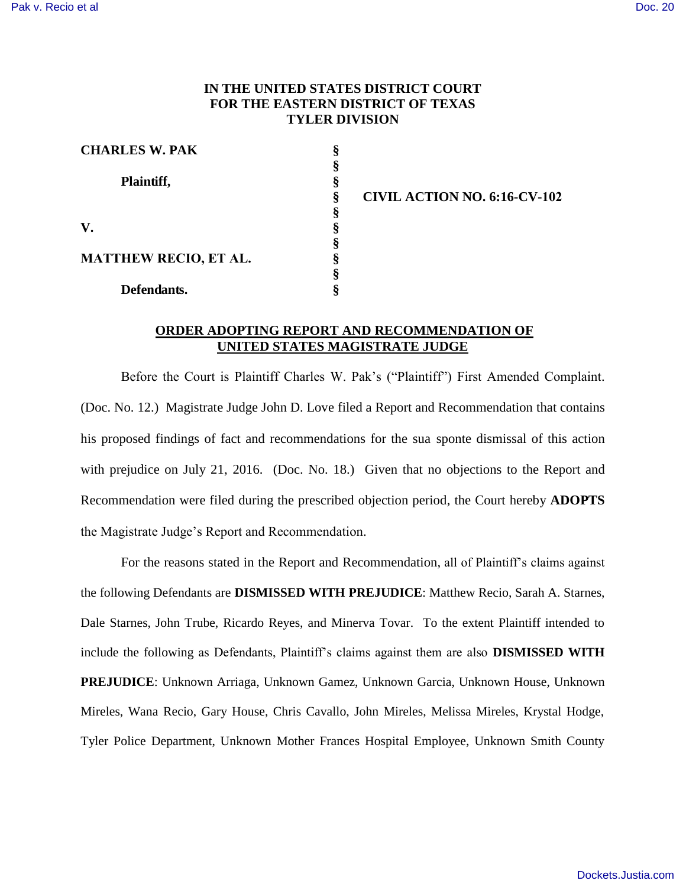## **IN THE UNITED STATES DISTRICT COURT FOR THE EASTERN DISTRICT OF TEXAS TYLER DIVISION**

| <b>CHARLES W. PAK</b>        |   |
|------------------------------|---|
|                              |   |
| Plaintiff,                   |   |
|                              |   |
|                              | 8 |
| $\mathbf{V}_{\cdot}$         | 8 |
|                              |   |
| <b>MATTHEW RECIO, ET AL.</b> |   |
|                              | 8 |
| Defendants.                  | S |

**§ CIVIL ACTION NO. 6:16-CV-102**

## **ORDER ADOPTING REPORT AND RECOMMENDATION OF UNITED STATES MAGISTRATE JUDGE**

Before the Court is Plaintiff Charles W. Pak's ("Plaintiff") First Amended Complaint. (Doc. No. 12.) Magistrate Judge John D. Love filed a Report and Recommendation that contains his proposed findings of fact and recommendations for the sua sponte dismissal of this action with prejudice on July 21, 2016. (Doc. No. 18.) Given that no objections to the Report and Recommendation were filed during the prescribed objection period, the Court hereby **ADOPTS** the Magistrate Judge's Report and Recommendation.

For the reasons stated in the Report and Recommendation, all of Plaintiff's claims against the following Defendants are **DISMISSED WITH PREJUDICE**: Matthew Recio, Sarah A. Starnes, Dale Starnes, John Trube, Ricardo Reyes, and Minerva Tovar. To the extent Plaintiff intended to include the following as Defendants, Plaintiff's claims against them are also **DISMISSED WITH PREJUDICE**: Unknown Arriaga, Unknown Gamez, Unknown Garcia, Unknown House, Unknown Mireles, Wana Recio, Gary House, Chris Cavallo, John Mireles, Melissa Mireles, Krystal Hodge, Tyler Police Department, Unknown Mother Frances Hospital Employee, Unknown Smith County